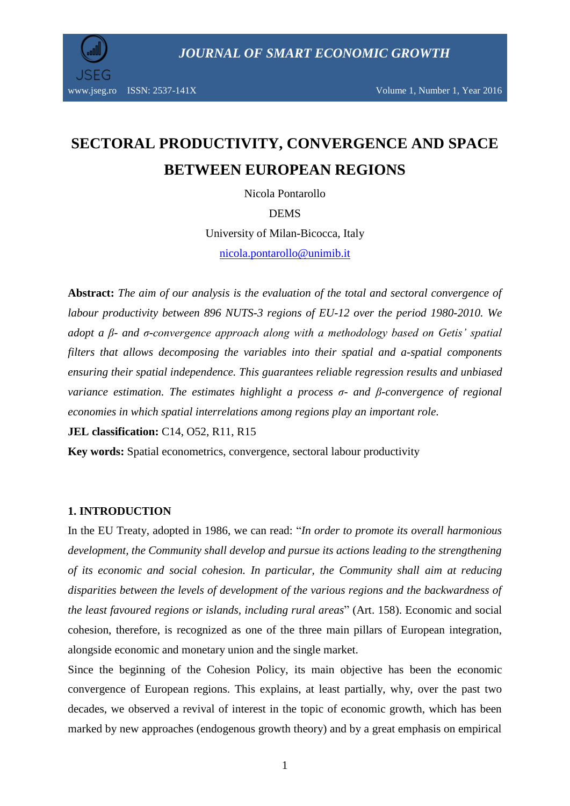



# **SECTORAL PRODUCTIVITY, CONVERGENCE AND SPACE BETWEEN EUROPEAN REGIONS**

Nicola Pontarollo

DEMS

University of Milan-Bicocca, Italy [nicola.pontarollo@unimib.it](mailto:nicola.pontarollo@unimib.it)

**Abstract:** *The aim of our analysis is the evaluation of the total and sectoral convergence of labour productivity between 896 NUTS-3 regions of EU-12 over the period 1980-2010. We adopt a β- and σ-convergence approach along with a methodology based on Getis' spatial filters that allows decomposing the variables into their spatial and a-spatial components ensuring their spatial independence. This guarantees reliable regression results and unbiased variance estimation. The estimates highlight a process σ- and β-convergence of regional economies in which spatial interrelations among regions play an important role.*

**JEL classification:** C14, O52, R11, R15

**Key words:** Spatial econometrics, convergence, sectoral labour productivity

#### **1. INTRODUCTION**

In the EU Treaty, adopted in 1986, we can read: "*In order to promote its overall harmonious development, the Community shall develop and pursue its actions leading to the strengthening of its economic and social cohesion. In particular, the Community shall aim at reducing disparities between the levels of development of the various regions and the backwardness of the least favoured regions or islands, including rural areas*" (Art. 158). Economic and social cohesion, therefore, is recognized as one of the three main pillars of European integration, alongside economic and monetary union and the single market.

Since the beginning of the Cohesion Policy, its main objective has been the economic convergence of European regions. This explains, at least partially, why, over the past two decades, we observed a revival of interest in the topic of economic growth, which has been marked by new approaches (endogenous growth theory) and by a great emphasis on empirical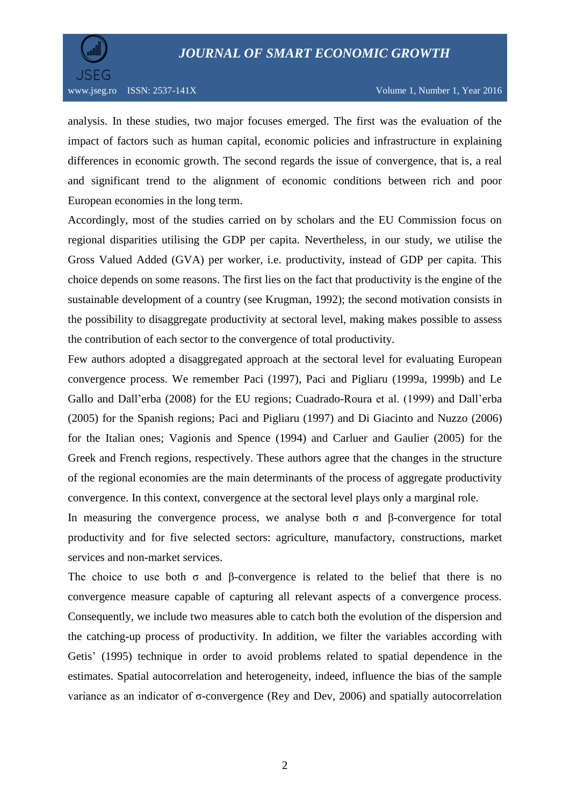

analysis. In these studies, two major focuses emerged. The first was the evaluation of the impact of factors such as human capital, economic policies and infrastructure in explaining differences in economic growth. The second regards the issue of convergence, that is, a real and significant trend to the alignment of economic conditions between rich and poor European economies in the long term.

Accordingly, most of the studies carried on by scholars and the EU Commission focus on regional disparities utilising the GDP per capita. Nevertheless, in our study, we utilise the Gross Valued Added (GVA) per worker, i.e. productivity, instead of GDP per capita. This choice depends on some reasons. The first lies on the fact that productivity is the engine of the sustainable development of a country (see Krugman, 1992); the second motivation consists in the possibility to disaggregate productivity at sectoral level, making makes possible to assess the contribution of each sector to the convergence of total productivity.

Few authors adopted a disaggregated approach at the sectoral level for evaluating European convergence process. We remember Paci (1997), Paci and Pigliaru (1999a, 1999b) and Le Gallo and Dall'erba (2008) for the EU regions; Cuadrado-Roura et al. (1999) and Dall'erba (2005) for the Spanish regions; Paci and Pigliaru (1997) and Di Giacinto and Nuzzo (2006) for the Italian ones; Vagionis and Spence (1994) and Carluer and Gaulier (2005) for the Greek and French regions, respectively. These authors agree that the changes in the structure of the regional economies are the main determinants of the process of aggregate productivity convergence. In this context, convergence at the sectoral level plays only a marginal role.

In measuring the convergence process, we analyse both  $\sigma$  and  $\beta$ -convergence for total productivity and for five selected sectors: agriculture, manufactory, constructions, market services and non-market services.

The choice to use both  $\sigma$  and  $\beta$ -convergence is related to the belief that there is no convergence measure capable of capturing all relevant aspects of a convergence process. Consequently, we include two measures able to catch both the evolution of the dispersion and the catching-up process of productivity. In addition, we filter the variables according with Getis' (1995) technique in order to avoid problems related to spatial dependence in the estimates. Spatial autocorrelation and heterogeneity, indeed, influence the bias of the sample variance as an indicator of σ-convergence (Rey and Dev, 2006) and spatially autocorrelation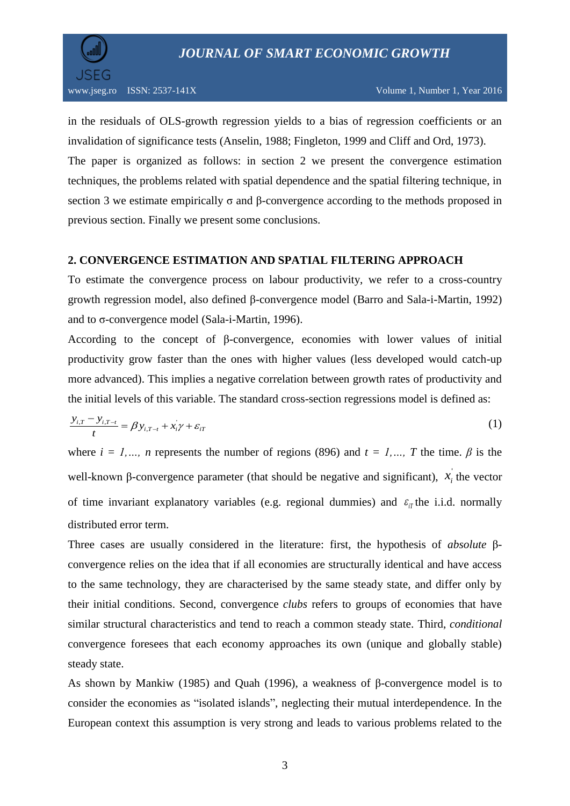

in the residuals of OLS-growth regression yields to a bias of regression coefficients or an invalidation of significance tests (Anselin, 1988; Fingleton, 1999 and Cliff and Ord, 1973). The paper is organized as follows: in section 2 we present the convergence estimation techniques, the problems related with spatial dependence and the spatial filtering technique, in section 3 we estimate empirically  $\sigma$  and  $\beta$ -convergence according to the methods proposed in previous section. Finally we present some conclusions.

#### **2. CONVERGENCE ESTIMATION AND SPATIAL FILTERING APPROACH**

To estimate the convergence process on labour productivity, we refer to a cross-country growth regression model, also defined β-convergence model (Barro and Sala-i-Martin, 1992) and to σ-convergence model (Sala-i-Martin, 1996).

According to the concept of β-convergence, economies with lower values of initial productivity grow faster than the ones with higher values (less developed would catch-up more advanced). This implies a negative correlation between growth rates of productivity and the initial levels of this variable. The standard cross-section regressions model is defined as:

$$
\frac{y_{i,T} - y_{i,T-t}}{t} = \beta y_{i,T-t} + x_i' \gamma + \varepsilon_{iT}
$$
\n(1)

where  $i = 1, ..., n$  represents the number of regions (896) and  $t = 1, ..., T$  the time.  $\beta$  is the well-known  $\beta$ -convergence parameter (that should be negative and significant),  $x_i$  the vector of time invariant explanatory variables (e.g. regional dummies) and  $\varepsilon_{i}$  the i.i.d. normally distributed error term.

Three cases are usually considered in the literature: first, the hypothesis of *absolute* βconvergence relies on the idea that if all economies are structurally identical and have access to the same technology, they are characterised by the same steady state, and differ only by their initial conditions. Second, convergence *clubs* refers to groups of economies that have similar structural characteristics and tend to reach a common steady state. Third, *conditional* convergence foresees that each economy approaches its own (unique and globally stable) steady state.

As shown by Mankiw (1985) and Quah (1996), a weakness of β-convergence model is to consider the economies as "isolated islands", neglecting their mutual interdependence. In the European context this assumption is very strong and leads to various problems related to the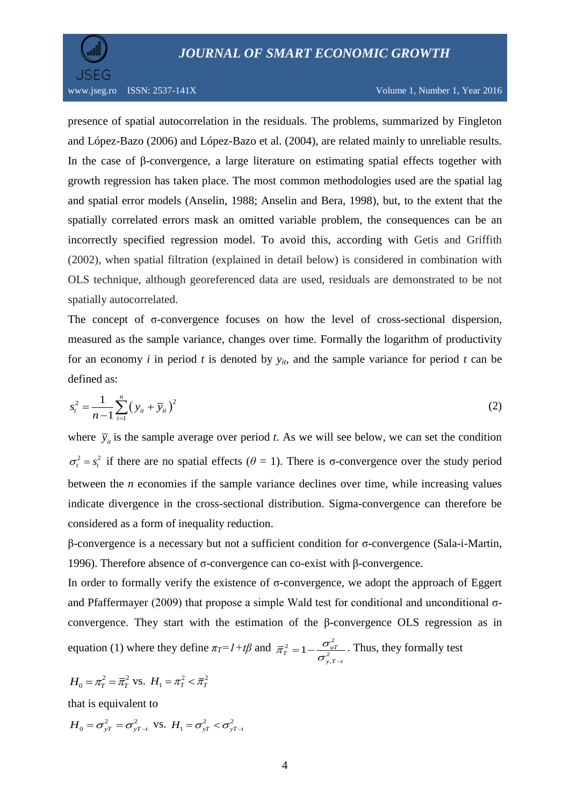

presence of spatial autocorrelation in the residuals. The problems, summarized by Fingleton and López-Bazo (2006) and López-Bazo et al. (2004), are related mainly to unreliable results. In the case of β-convergence, a large literature on estimating spatial effects together with growth regression has taken place. The most common methodologies used are the spatial lag and spatial error models (Anselin, 1988; Anselin and Bera, 1998), but, to the extent that the spatially correlated errors mask an omitted variable problem, the consequences can be an incorrectly specified regression model. To avoid this, according with Getis and Griffith (2002), when spatial filtration (explained in detail below) is considered in combination with OLS technique, although georeferenced data are used, residuals are demonstrated to be not spatially autocorrelated.

The concept of σ-convergence focuses on how the level of cross-sectional dispersion, measured as the sample variance, changes over time. Formally the logarithm of productivity for an economy *i* in period *t* is denoted by  $y_{it}$ , and the sample variance for period *t* can be defined as:

$$
s_t^2 = \frac{1}{n-1} \sum_{i=1}^n (y_{it} + \overline{y}_{it})^2
$$
 (2)

where  $\bar{y}_i$  is the sample average over period *t*. As we will see below, we can set the condition  $\sigma_t^2 = s_t^2$  if there are no spatial effects ( $\theta = 1$ ). There is  $\sigma$ -convergence over the study period between the *n* economies if the sample variance declines over time, while increasing values indicate divergence in the cross-sectional distribution. Sigma-convergence can therefore be considered as a form of inequality reduction.

β-convergence is a necessary but not a sufficient condition for σ-convergence (Sala-i-Martin, 1996). Therefore absence of σ-convergence can co-exist with β-convergence.

In order to formally verify the existence of  $\sigma$ -convergence, we adopt the approach of Eggert and Pfaffermayer (2009) that propose a simple Wald test for conditional and unconditional  $\sigma$ convergence. They start with the estimation of the β-convergence OLS regression as in equation (1) where they define  $\pi_T = l + t\beta$  and  $\pi_T^2 = 1 - \frac{\sigma_u^2}{a}$  $\frac{2}{y}$  $\frac{c^2}{T} = 1 - \frac{O_{uT}}{2}$  $y, T - t$  $\overline{\pi}_{\overline{n}}^2 = 1 - \frac{\sigma}{n}$  $\sigma _{y,T-}^{\scriptscriptstyle -}$  $=1-\frac{\sigma_{uT}^2}{r^2}$ . Thus, they formally test

$$
H_0 = \pi_T^2 = \overline{\pi}_T^2
$$
 vs.  $H_1 = \pi_T^2 < \overline{\pi}_T^2$ 

that is equivalent to

$$
H_0 = \sigma_{yT}^2 = \sigma_{yT-t}^2
$$
 vs.  $H_1 = \sigma_{yT}^2 < \sigma_{yT-t}^2$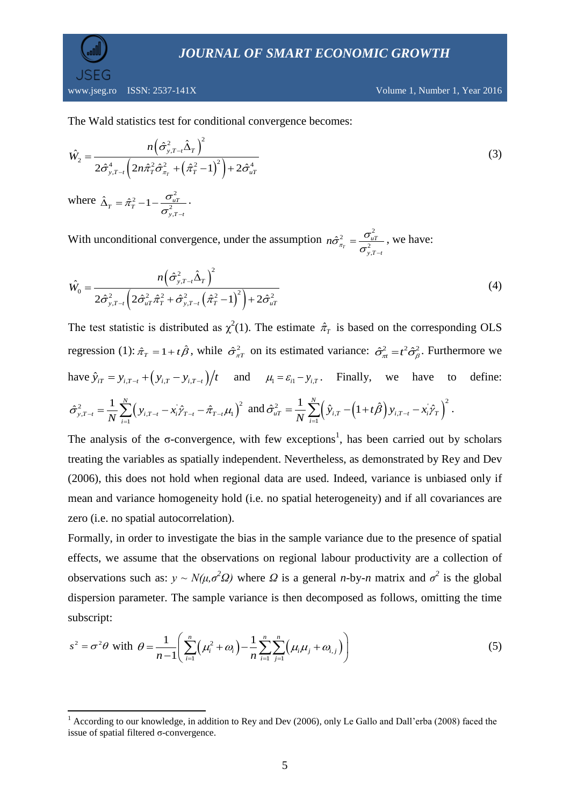$\overline{\phantom{a}}$ 

www.jseg.ro ISSN: 2537-141X Volume 1, Number 1, Year 2016

The Wald statistics test for conditional convergence becomes:

$$
\hat{W}_2 = \frac{n(\hat{\sigma}_{y,T-t}^2 \hat{\Delta}_T)^2}{2\hat{\sigma}_{y,T-t}^4 \left(2n\hat{\pi}_T^2 \hat{\sigma}_{\pi_T}^2 + (\hat{\pi}_T^2 - 1)^2\right) + 2\hat{\sigma}_{uT}^4}
$$
\nwhere

\n
$$
\hat{\Delta}_T = \hat{\pi}_T^2 - 1 - \frac{\sigma_{uT}^2}{\sigma_{y,T-t}^2}.
$$
\n(3)

With unconditional convergence, under the assumption  $n\hat{\sigma}_z^2 = \frac{\sigma_u^2}{\sigma_x^2}$ 2 ,  $\hat{\mathfrak{T}}^2_{\pi_{_{\!I}}}$ *uT*  $y, T - t$  $n\hat{\sigma}_{\pi_{\tau}}^2 = \frac{\sigma}{2}$  $\sigma_{\mathrm{y,}T-}$  $=\frac{O_{uT}}{2}$ , we have:

$$
\hat{W}_0 = \frac{n(\hat{\sigma}_{y,T-t}^2 \hat{\Delta}_T)^2}{2\hat{\sigma}_{y,T-t}^2 \left(2\hat{\sigma}_{uT}^2 \hat{\pi}_T^2 + \hat{\sigma}_{y,T-t}^2 \left(\hat{\pi}_T^2 - 1\right)^2\right) + 2\hat{\sigma}_{uT}^2}
$$
\n(4)

The test statistic is distributed as  $\chi^2(1)$ . The estimate  $\hat{\pi}_T$  is based on the corresponding OLS regression (1):  $\hat{\pi}_T = 1 + t\hat{\beta}$ , while  $\hat{\sigma}_{\pi T}^2$  on its estimated variance:  $\hat{\sigma}_{\pi}^2 = t^2 \hat{\sigma}_{\beta}^2$ . Furthermore we have  $\hat{y}_{iT} = y_{i,T-t} + (y_{i,T} - y_{i,T-t})/t$  and  $\mu_1 = \varepsilon_{i1} - y_{i,T}$ . Finally, we have to define:

$$
\hat{\sigma}_{y,T-t}^2 = \frac{1}{N} \sum_{i=1}^N \left( y_{i,T-t} - x_i \hat{\gamma}_{T-t} - \hat{\pi}_{T-t} \mu_1 \right)^2 \text{ and } \hat{\sigma}_{uT}^2 = \frac{1}{N} \sum_{i=1}^N \left( \hat{y}_{i,T} - \left( 1 + t \hat{\beta} \right) y_{i,T-t} - x_i \hat{\gamma}_T \right)^2.
$$

The analysis of the  $\sigma$ -convergence, with few exceptions<sup>1</sup>, has been carried out by scholars treating the variables as spatially independent. Nevertheless, as demonstrated by Rey and Dev (2006), this does not hold when regional data are used. Indeed, variance is unbiased only if mean and variance homogeneity hold (i.e. no spatial heterogeneity) and if all covariances are zero (i.e. no spatial autocorrelation).

Formally, in order to investigate the bias in the sample variance due to the presence of spatial effects, we assume that the observations on regional labour productivity are a collection of observations such as:  $y \sim N(\mu, \sigma^2 \Omega)$  where  $\Omega$  is a general *n*-by-*n* matrix and  $\sigma^2$  is the global dispersion parameter. The sample variance is then decomposed as follows, omitting the time subscript:

$$
s^{2} = \sigma^{2} \theta \text{ with } \theta = \frac{1}{n-1} \left( \sum_{i=1}^{n} \left( \mu_{i}^{2} + \omega_{i} \right) - \frac{1}{n} \sum_{i=1}^{n} \sum_{j=1}^{n} \left( \mu_{i} \mu_{j} + \omega_{i,j} \right) \right)
$$
(5)

<sup>&</sup>lt;sup>1</sup> According to our knowledge, in addition to Rey and Dev (2006), only Le Gallo and Dall'erba (2008) faced the issue of spatial filtered σ-convergence.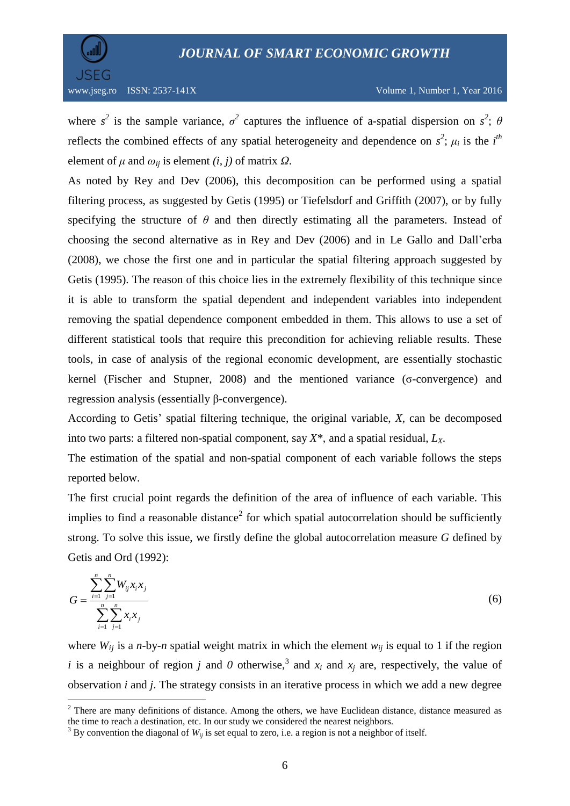

 $\overline{a}$ 

where  $s^2$  is the sample variance,  $\sigma^2$  captures the influence of a-spatial dispersion on  $s^2$ ;  $\theta$ reflects the combined effects of any spatial heterogeneity and dependence on  $s^2$ ;  $\mu_i$  is the *i*<sup>th</sup> element of  $\mu$  and  $\omega_{ii}$  is element  $(i, j)$  of matrix  $\Omega$ .

As noted by Rey and Dev (2006), this decomposition can be performed using a spatial filtering process, as suggested by Getis (1995) or Tiefelsdorf and Griffith (2007), or by fully specifying the structure of  $\theta$  and then directly estimating all the parameters. Instead of choosing the second alternative as in Rey and Dev (2006) and in Le Gallo and Dall'erba (2008), we chose the first one and in particular the spatial filtering approach suggested by Getis (1995). The reason of this choice lies in the extremely flexibility of this technique since it is able to transform the spatial dependent and independent variables into independent removing the spatial dependence component embedded in them. This allows to use a set of different statistical tools that require this precondition for achieving reliable results. These tools, in case of analysis of the regional economic development, are essentially stochastic kernel (Fischer and Stupner, 2008) and the mentioned variance (σ-convergence) and regression analysis (essentially β-convergence).

According to Getis' spatial filtering technique, the original variable, *X*, can be decomposed into two parts: a filtered non-spatial component, say *X\*,* and a spatial residual, *LX*.

The estimation of the spatial and non-spatial component of each variable follows the steps reported below.

The first crucial point regards the definition of the area of influence of each variable. This implies to find a reasonable distance<sup>2</sup> for which spatial autocorrelation should be sufficiently strong. To solve this issue, we firstly define the global autocorrelation measure *G* defined by Getis and Ord (1992):

$$
G = \frac{\sum_{i=1}^{n} \sum_{j=1}^{n} W_{ij} x_i x_j}{\sum_{i=1}^{n} \sum_{j=1}^{n} x_i x_j}
$$
(6)

where  $W_{ii}$  is a *n*-by-*n* spatial weight matrix in which the element  $W_{ii}$  is equal to 1 if the region *i* is a neighbour of region *j* and *0* otherwise,<sup>3</sup> and  $x_i$  and  $x_j$  are, respectively, the value of observation *i* and *j*. The strategy consists in an iterative process in which we add a new degree

<sup>&</sup>lt;sup>2</sup> There are many definitions of distance. Among the others, we have Euclidean distance, distance measured as the time to reach a destination, etc. In our study we considered the nearest neighbors.

 $3$  By convention the diagonal of  $W_{ii}$  is set equal to zero, i.e. a region is not a neighbor of itself.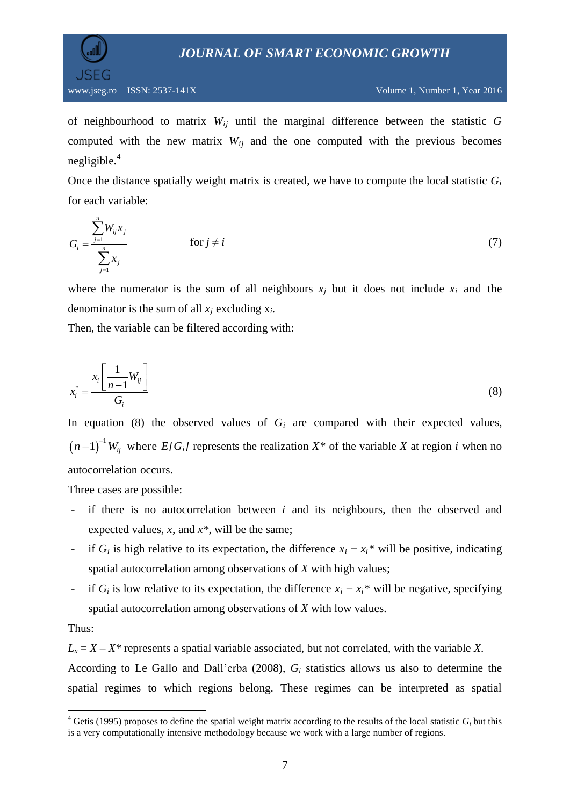



of neighbourhood to matrix *Wij* until the marginal difference between the statistic *G* computed with the new matrix  $W_{ij}$  and the one computed with the previous becomes negligible. $4$ 

Once the distance spatially weight matrix is created, we have to compute the local statistic *G<sup>i</sup>* for each variable:

$$
G_i = \frac{\sum_{j=1}^{n} W_{ij} x_j}{\sum_{j=1}^{n} x_j} \qquad \text{for } j \neq i \tag{7}
$$

where the numerator is the sum of all neighbours  $x_i$  but it does not include  $x_i$  and the denominator is the sum of all  $x_j$  excluding  $x_i$ .

Then, the variable can be filtered according with:

$$
x_i^* = \frac{x_i \left[ \frac{1}{n-1} W_{ij} \right]}{G_i} \tag{8}
$$

In equation (8) the observed values of  $G_i$  are compared with their expected values,  $(n-1)^{-1}W_{ij}$  where  $E[G_i]$  represents the realization  $X^*$  of the variable *X* at region *i* when no autocorrelation occurs.

Three cases are possible:

- if there is no autocorrelation between *i* and its neighbours, then the observed and expected values, *x*, and *x\**, will be the same;
- if  $G_i$  is high relative to its expectation, the difference  $x_i x_i^*$  will be positive, indicating spatial autocorrelation among observations of *X* with high values;
- if  $G_i$  is low relative to its expectation, the difference  $x_i x_i^*$  will be negative, specifying spatial autocorrelation among observations of *X* with low values.

#### Thus:

 $L_x = X - X^*$  represents a spatial variable associated, but not correlated, with the variable *X*. According to Le Gallo and Dall'erba (2008), *G<sup>i</sup>* statistics allows us also to determine the spatial regimes to which regions belong. These regimes can be interpreted as spatial

 $\overline{\phantom{a}}$ <sup>4</sup> Getis (1995) proposes to define the spatial weight matrix according to the results of the local statistic  $G_i$  but this is a very computationally intensive methodology because we work with a large number of regions.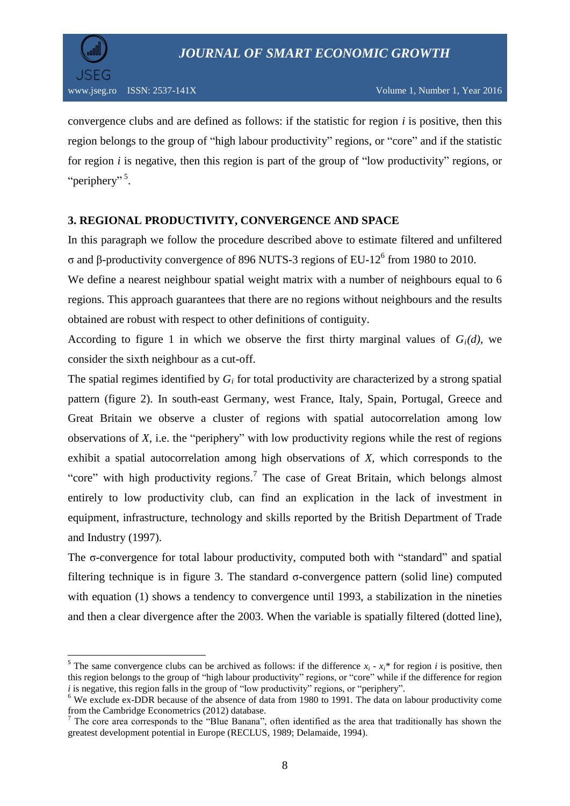

l

convergence clubs and are defined as follows: if the statistic for region *i* is positive, then this region belongs to the group of "high labour productivity" regions, or "core" and if the statistic for region *i* is negative, then this region is part of the group of "low productivity" regions, or "periphery"<sup>5</sup>.

#### **3. REGIONAL PRODUCTIVITY, CONVERGENCE AND SPACE**

In this paragraph we follow the procedure described above to estimate filtered and unfiltered σ and β-productivity convergence of 896 NUTS-3 regions of EU-12<sup>6</sup> from 1980 to 2010.

We define a nearest neighbour spatial weight matrix with a number of neighbours equal to 6 regions. This approach guarantees that there are no regions without neighbours and the results obtained are robust with respect to other definitions of contiguity.

According to figure 1 in which we observe the first thirty marginal values of  $G_i(d)$ , we consider the sixth neighbour as a cut-off.

The spatial regimes identified by *G<sup>i</sup>* for total productivity are characterized by a strong spatial pattern (figure 2). In south-east Germany, west France, Italy, Spain, Portugal, Greece and Great Britain we observe a cluster of regions with spatial autocorrelation among low observations of *X*, i.e. the "periphery" with low productivity regions while the rest of regions exhibit a spatial autocorrelation among high observations of *X*, which corresponds to the "core" with high productivity regions.<sup>7</sup> The case of Great Britain, which belongs almost entirely to low productivity club, can find an explication in the lack of investment in equipment, infrastructure, technology and skills reported by the British Department of Trade and Industry (1997).

The σ-convergence for total labour productivity, computed both with "standard" and spatial filtering technique is in figure 3. The standard  $\sigma$ -convergence pattern (solid line) computed with equation (1) shows a tendency to convergence until 1993, a stabilization in the nineties and then a clear divergence after the 2003. When the variable is spatially filtered (dotted line),

<sup>&</sup>lt;sup>5</sup> The same convergence clubs can be archived as follows: if the difference  $x_i$  -  $x_i$ <sup>\*</sup> for region *i* is positive, then this region belongs to the group of "high labour productivity" regions, or "core" while if the difference for region *i* is negative, this region falls in the group of "low productivity" regions, or "periphery".

<sup>6</sup> We exclude ex-DDR because of the absence of data from 1980 to 1991. The data on labour productivity come from the Cambridge Econometrics (2012) database.

 $<sup>7</sup>$  The core area corresponds to the "Blue Banana", often identified as the area that traditionally has shown the</sup> greatest development potential in Europe (RECLUS, 1989; Delamaide, 1994).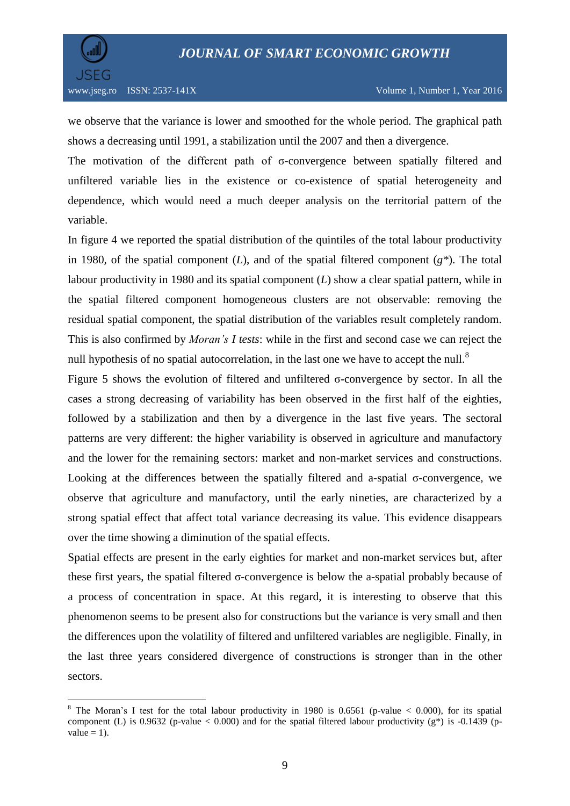

 $\overline{a}$ 

we observe that the variance is lower and smoothed for the whole period. The graphical path shows a decreasing until 1991, a stabilization until the 2007 and then a divergence.

The motivation of the different path of σ-convergence between spatially filtered and unfiltered variable lies in the existence or co-existence of spatial heterogeneity and dependence, which would need a much deeper analysis on the territorial pattern of the variable.

In figure 4 we reported the spatial distribution of the quintiles of the total labour productivity in 1980, of the spatial component  $(L)$ , and of the spatial filtered component  $(g^*)$ . The total labour productivity in 1980 and its spatial component (*L*) show a clear spatial pattern, while in the spatial filtered component homogeneous clusters are not observable: removing the residual spatial component, the spatial distribution of the variables result completely random. This is also confirmed by *Moran's I tests*: while in the first and second case we can reject the null hypothesis of no spatial autocorrelation, in the last one we have to accept the null.<sup>8</sup>

Figure 5 shows the evolution of filtered and unfiltered σ-convergence by sector. In all the cases a strong decreasing of variability has been observed in the first half of the eighties, followed by a stabilization and then by a divergence in the last five years. The sectoral patterns are very different: the higher variability is observed in agriculture and manufactory and the lower for the remaining sectors: market and non-market services and constructions. Looking at the differences between the spatially filtered and a-spatial σ-convergence, we observe that agriculture and manufactory, until the early nineties, are characterized by a strong spatial effect that affect total variance decreasing its value. This evidence disappears over the time showing a diminution of the spatial effects.

Spatial effects are present in the early eighties for market and non-market services but, after these first years, the spatial filtered  $\sigma$ -convergence is below the a-spatial probably because of a process of concentration in space. At this regard, it is interesting to observe that this phenomenon seems to be present also for constructions but the variance is very small and then the differences upon the volatility of filtered and unfiltered variables are negligible. Finally, in the last three years considered divergence of constructions is stronger than in the other sectors.

<sup>&</sup>lt;sup>8</sup> The Moran's I test for the total labour productivity in 1980 is 0.6561 (p-value  $< 0.000$ ), for its spatial component (L) is 0.9632 (p-value < 0.000) and for the spatial filtered labour productivity (g\*) is -0.1439 (pvalue  $= 1$ ).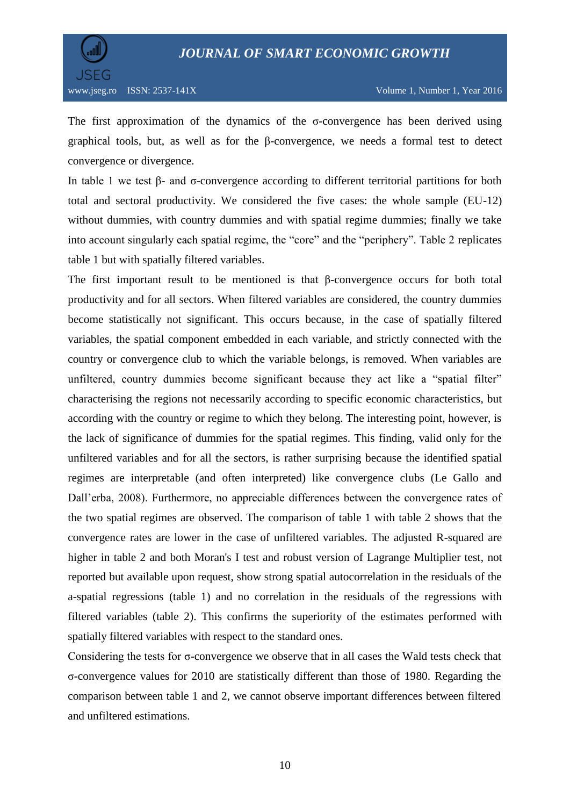

The first approximation of the dynamics of the σ-convergence has been derived using graphical tools, but, as well as for the β-convergence, we needs a formal test to detect convergence or divergence.

In table 1 we test β- and σ-convergence according to different territorial partitions for both total and sectoral productivity. We considered the five cases: the whole sample (EU-12) without dummies, with country dummies and with spatial regime dummies; finally we take into account singularly each spatial regime, the "core" and the "periphery". Table 2 replicates table 1 but with spatially filtered variables.

The first important result to be mentioned is that β-convergence occurs for both total productivity and for all sectors. When filtered variables are considered, the country dummies become statistically not significant. This occurs because, in the case of spatially filtered variables, the spatial component embedded in each variable, and strictly connected with the country or convergence club to which the variable belongs, is removed. When variables are unfiltered, country dummies become significant because they act like a "spatial filter" characterising the regions not necessarily according to specific economic characteristics, but according with the country or regime to which they belong. The interesting point, however, is the lack of significance of dummies for the spatial regimes. This finding, valid only for the unfiltered variables and for all the sectors, is rather surprising because the identified spatial regimes are interpretable (and often interpreted) like convergence clubs (Le Gallo and Dall'erba, 2008). Furthermore, no appreciable differences between the convergence rates of the two spatial regimes are observed. The comparison of table 1 with table 2 shows that the convergence rates are lower in the case of unfiltered variables. The adjusted R-squared are higher in table 2 and both Moran's I test and robust version of Lagrange Multiplier test, not reported but available upon request, show strong spatial autocorrelation in the residuals of the a-spatial regressions (table 1) and no correlation in the residuals of the regressions with filtered variables (table 2). This confirms the superiority of the estimates performed with spatially filtered variables with respect to the standard ones.

Considering the tests for  $\sigma$ -convergence we observe that in all cases the Wald tests check that σ-convergence values for 2010 are statistically different than those of 1980. Regarding the comparison between table 1 and 2, we cannot observe important differences between filtered and unfiltered estimations.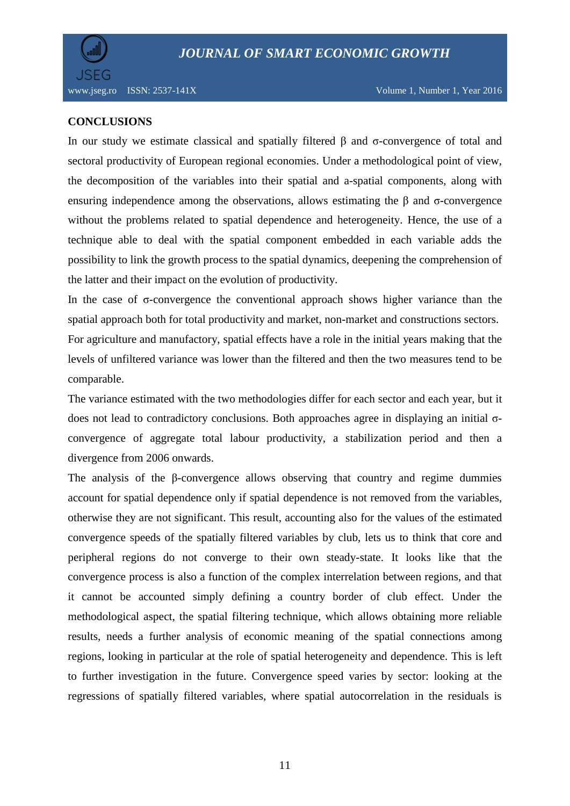

#### **CONCLUSIONS**

In our study we estimate classical and spatially filtered β and σ-convergence of total and sectoral productivity of European regional economies. Under a methodological point of view, the decomposition of the variables into their spatial and a-spatial components, along with ensuring independence among the observations, allows estimating the  $\beta$  and  $\sigma$ -convergence without the problems related to spatial dependence and heterogeneity. Hence, the use of a technique able to deal with the spatial component embedded in each variable adds the possibility to link the growth process to the spatial dynamics, deepening the comprehension of the latter and their impact on the evolution of productivity.

In the case of  $\sigma$ -convergence the conventional approach shows higher variance than the spatial approach both for total productivity and market, non-market and constructions sectors. For agriculture and manufactory, spatial effects have a role in the initial years making that the levels of unfiltered variance was lower than the filtered and then the two measures tend to be comparable.

The variance estimated with the two methodologies differ for each sector and each year, but it does not lead to contradictory conclusions. Both approaches agree in displaying an initial σconvergence of aggregate total labour productivity, a stabilization period and then a divergence from 2006 onwards.

The analysis of the β-convergence allows observing that country and regime dummies account for spatial dependence only if spatial dependence is not removed from the variables, otherwise they are not significant. This result, accounting also for the values of the estimated convergence speeds of the spatially filtered variables by club, lets us to think that core and peripheral regions do not converge to their own steady-state. It looks like that the convergence process is also a function of the complex interrelation between regions, and that it cannot be accounted simply defining a country border of club effect. Under the methodological aspect, the spatial filtering technique, which allows obtaining more reliable results, needs a further analysis of economic meaning of the spatial connections among regions, looking in particular at the role of spatial heterogeneity and dependence. This is left to further investigation in the future. Convergence speed varies by sector: looking at the regressions of spatially filtered variables, where spatial autocorrelation in the residuals is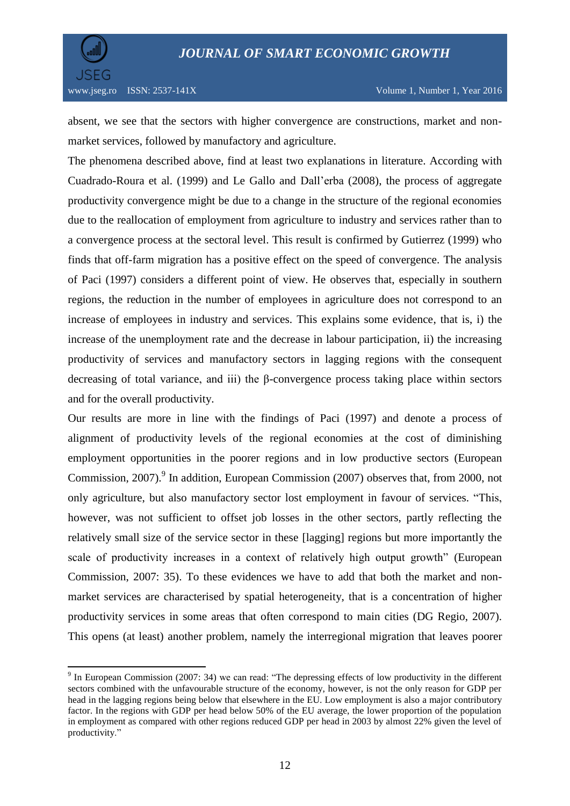

 $\overline{a}$ 

absent, we see that the sectors with higher convergence are constructions, market and nonmarket services, followed by manufactory and agriculture.

The phenomena described above, find at least two explanations in literature. According with Cuadrado-Roura et al. (1999) and Le Gallo and Dall'erba (2008), the process of aggregate productivity convergence might be due to a change in the structure of the regional economies due to the reallocation of employment from agriculture to industry and services rather than to a convergence process at the sectoral level. This result is confirmed by Gutierrez (1999) who finds that off-farm migration has a positive effect on the speed of convergence. The analysis of Paci (1997) considers a different point of view. He observes that, especially in southern regions, the reduction in the number of employees in agriculture does not correspond to an increase of employees in industry and services. This explains some evidence, that is, i) the increase of the unemployment rate and the decrease in labour participation, ii) the increasing productivity of services and manufactory sectors in lagging regions with the consequent decreasing of total variance, and iii) the β-convergence process taking place within sectors and for the overall productivity.

Our results are more in line with the findings of Paci (1997) and denote a process of alignment of productivity levels of the regional economies at the cost of diminishing employment opportunities in the poorer regions and in low productive sectors (European Commission, 2007).<sup>9</sup> In addition, European Commission (2007) observes that, from 2000, not only agriculture, but also manufactory sector lost employment in favour of services. "This, however, was not sufficient to offset job losses in the other sectors, partly reflecting the relatively small size of the service sector in these [lagging] regions but more importantly the scale of productivity increases in a context of relatively high output growth" (European Commission, 2007: 35). To these evidences we have to add that both the market and nonmarket services are characterised by spatial heterogeneity, that is a concentration of higher productivity services in some areas that often correspond to main cities (DG Regio, 2007). This opens (at least) another problem, namely the interregional migration that leaves poorer

<sup>&</sup>lt;sup>9</sup> In European Commission (2007: 34) we can read: "The depressing effects of low productivity in the different sectors combined with the unfavourable structure of the economy, however, is not the only reason for GDP per head in the lagging regions being below that elsewhere in the EU. Low employment is also a major contributory factor. In the regions with GDP per head below 50% of the EU average, the lower proportion of the population in employment as compared with other regions reduced GDP per head in 2003 by almost 22% given the level of productivity."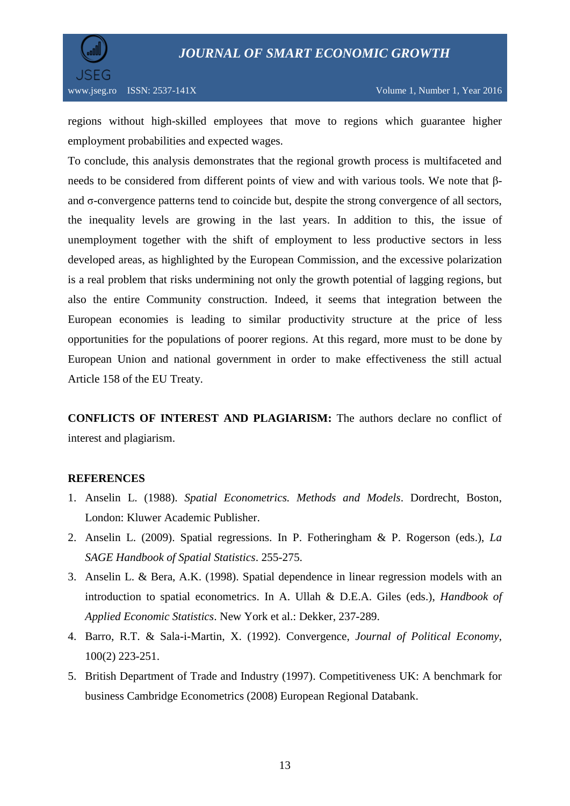



regions without high-skilled employees that move to regions which guarantee higher employment probabilities and expected wages.

To conclude, this analysis demonstrates that the regional growth process is multifaceted and needs to be considered from different points of view and with various tools. We note that βand σ-convergence patterns tend to coincide but, despite the strong convergence of all sectors, the inequality levels are growing in the last years. In addition to this, the issue of unemployment together with the shift of employment to less productive sectors in less developed areas, as highlighted by the European Commission, and the excessive polarization is a real problem that risks undermining not only the growth potential of lagging regions, but also the entire Community construction. Indeed, it seems that integration between the European economies is leading to similar productivity structure at the price of less opportunities for the populations of poorer regions. At this regard, more must to be done by European Union and national government in order to make effectiveness the still actual Article 158 of the EU Treaty.

**CONFLICTS OF INTEREST AND PLAGIARISM:** The authors declare no conflict of interest and plagiarism.

#### **REFERENCES**

- 1. Anselin L. (1988). *Spatial Econometrics. Methods and Models*. Dordrecht, Boston, London: Kluwer Academic Publisher.
- 2. Anselin L. (2009). Spatial regressions. In P. Fotheringham & P. Rogerson (eds.), *La SAGE Handbook of Spatial Statistics*. 255-275.
- 3. Anselin L. & Bera, A.K. (1998). Spatial dependence in linear regression models with an introduction to spatial econometrics. In A. Ullah & D.E.A. Giles (eds.), *Handbook of Applied Economic Statistics*. New York et al.: Dekker, 237-289.
- 4. Barro, R.T. & Sala-i-Martin, X. (1992). Convergence, *Journal of Political Economy*, 100(2) 223-251.
- 5. British Department of Trade and Industry (1997). Competitiveness UK: A benchmark for business Cambridge Econometrics (2008) European Regional Databank.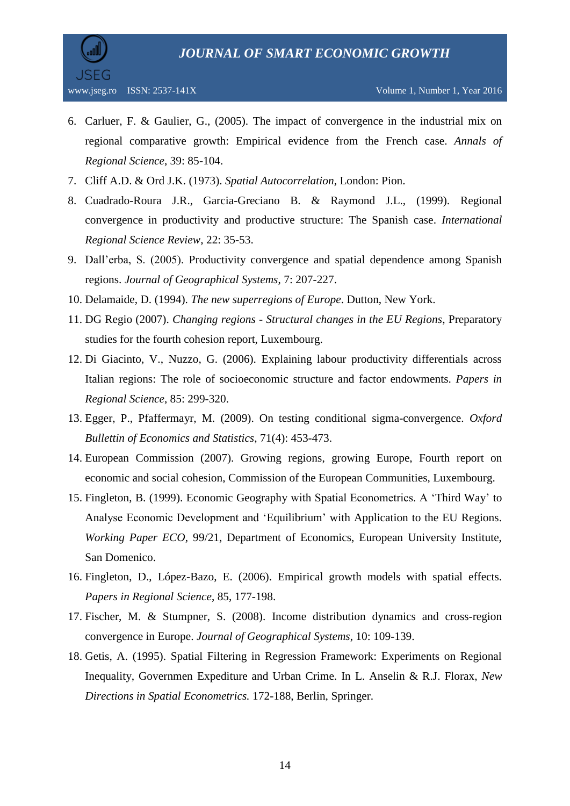

- 6. Carluer, F. & Gaulier, G., (2005). The impact of convergence in the industrial mix on regional comparative growth: Empirical evidence from the French case. *Annals of Regional Science*, 39: 85-104.
- 7. Cliff A.D. & Ord J.K. (1973). *Spatial Autocorrelation*, London: Pion.
- 8. Cuadrado-Roura J.R., Garcia-Greciano B. & Raymond J.L., (1999). Regional convergence in productivity and productive structure: The Spanish case. *International Regional Science Review*, 22: 35-53.
- 9. Dall'erba, S. (2005). Productivity convergence and spatial dependence among Spanish regions. *Journal of Geographical Systems*, 7: 207-227.
- 10. Delamaide, D. (1994). *The new superregions of Europe*. Dutton, New York.
- 11. DG Regio (2007). *Changing regions - Structural changes in the EU Regions*, Preparatory studies for the fourth cohesion report, Luxembourg.
- 12. Di Giacinto, V., Nuzzo, G. (2006). Explaining labour productivity differentials across Italian regions: The role of socioeconomic structure and factor endowments. *Papers in Regional Science*, 85: 299-320.
- 13. Egger, P., Pfaffermayr, M. (2009). On testing conditional sigma-convergence. *Oxford Bullettin of Economics and Statistics*, 71(4): 453-473.
- 14. European Commission (2007). Growing regions, growing Europe, Fourth report on economic and social cohesion, Commission of the European Communities, Luxembourg.
- 15. Fingleton, B. (1999). Economic Geography with Spatial Econometrics. A 'Third Way' to Analyse Economic Development and 'Equilibrium' with Application to the EU Regions. *Working Paper ECO*, 99/21, Department of Economics, European University Institute, San Domenico.
- 16. Fingleton, D., López-Bazo, E. (2006). Empirical growth models with spatial effects. *Papers in Regional Science*, 85, 177-198.
- 17. Fischer, M. & Stumpner, S. (2008). Income distribution dynamics and cross-region convergence in Europe. *Journal of Geographical Systems*, 10: 109-139.
- 18. Getis, A. (1995). Spatial Filtering in Regression Framework: Experiments on Regional Inequality, Governmen Expediture and Urban Crime. In L. Anselin & R.J. Florax, *New Directions in Spatial Econometrics.* 172-188, Berlin, Springer.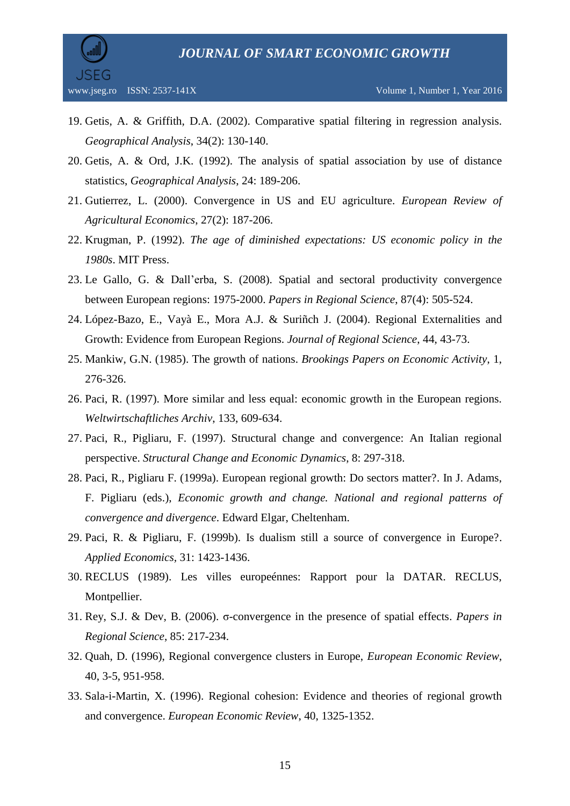

- 19. Getis, A. & Griffith, D.A. (2002). Comparative spatial filtering in regression analysis. *Geographical Analysis*, 34(2): 130-140.
- 20. Getis, A. & Ord, J.K. (1992). The analysis of spatial association by use of distance statistics, *Geographical Analysis*, 24: 189-206.
- 21. Gutierrez, L. (2000). Convergence in US and EU agriculture. *European Review of Agricultural Economics*, 27(2): 187-206.
- 22. Krugman, P. (1992). *The age of diminished expectations: US economic policy in the 1980s*. MIT Press.
- 23. Le Gallo, G. & Dall'erba, S. (2008). Spatial and sectoral productivity convergence between European regions: 1975-2000. *Papers in Regional Science*, 87(4): 505-524.
- 24. López-Bazo, E., Vayà E., Mora A.J. & Suriñch J. (2004). Regional Externalities and Growth: Evidence from European Regions. *Journal of Regional Science*, 44, 43-73.
- 25. Mankiw, G.N. (1985). The growth of nations. *Brookings Papers on Economic Activity*, 1, 276-326.
- 26. Paci, R. (1997). More similar and less equal: economic growth in the European regions. *Weltwirtschaftliches Archiv*, 133, 609-634.
- 27. Paci, R., Pigliaru, F. (1997). Structural change and convergence: An Italian regional perspective. *Structural Change and Economic Dynamics*, 8: 297-318.
- 28. Paci, R., Pigliaru F. (1999a). European regional growth: Do sectors matter?. In J. Adams, F. Pigliaru (eds.), *Economic growth and change. National and regional patterns of convergence and divergence*. Edward Elgar, Cheltenham.
- 29. Paci, R. & Pigliaru, F. (1999b). Is dualism still a source of convergence in Europe?. *Applied Economics,* 31: 1423-1436.
- 30. RECLUS (1989). Les villes europeénnes: Rapport pour la DATAR. RECLUS, Montpellier.
- 31. Rey, S.J. & Dev, B. (2006). σ-convergence in the presence of spatial effects. *Papers in Regional Science*, 85: 217-234.
- 32. Quah, D. (1996), Regional convergence clusters in Europe, *European Economic Review*, 40, 3-5, 951-958.
- 33. Sala-i-Martin, X. (1996). Regional cohesion: Evidence and theories of regional growth and convergence. *European Economic Review*, 40, 1325-1352.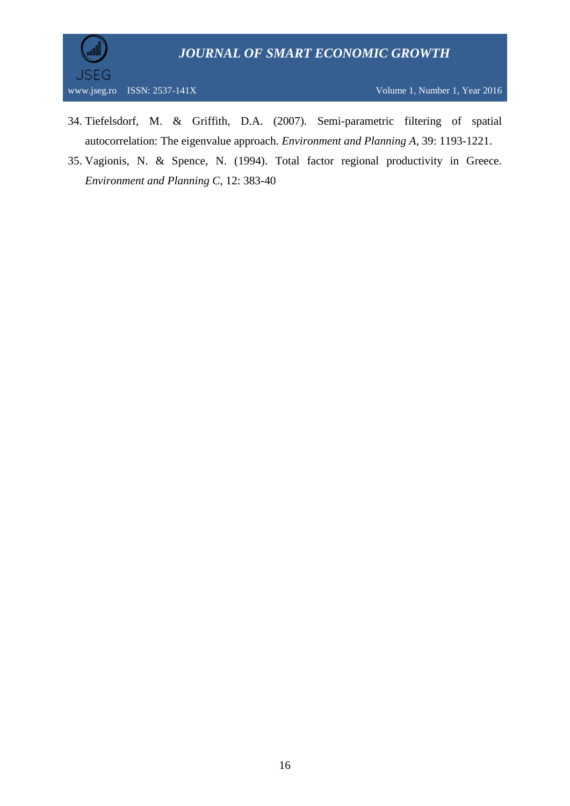

www.jseg.ro ISSN: 2537-141X Volume 1, Number 1, Year 2016

- 34. Tiefelsdorf, M. & Griffith, D.A. (2007). Semi-parametric filtering of spatial autocorrelation: The eigenvalue approach. *Environment and Planning A*, 39: 1193-1221.
- 35. Vagionis, N. & Spence, N. (1994). Total factor regional productivity in Greece. *Environment and Planning C*, 12: 383-40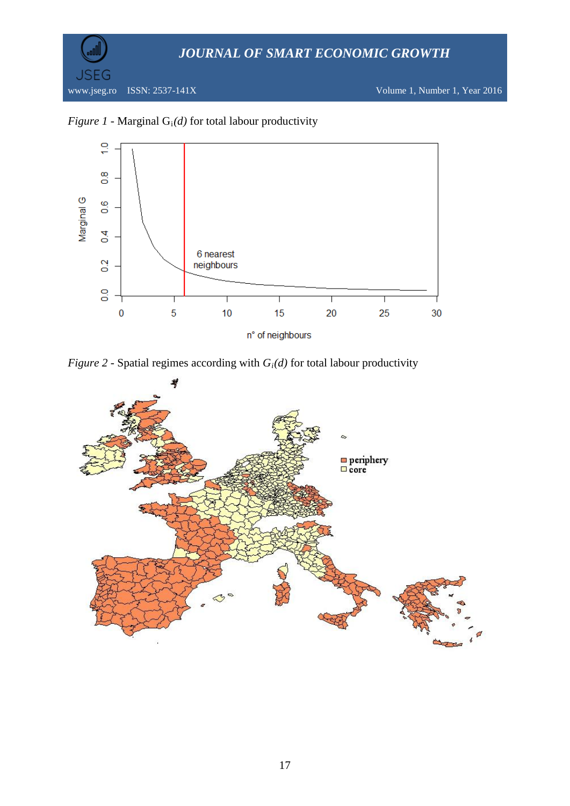

### *Figure 1* - Marginal  $G_i(d)$  for total labour productivity



*Figure 2* - Spatial regimes according with  $G_i(d)$  for total labour productivity

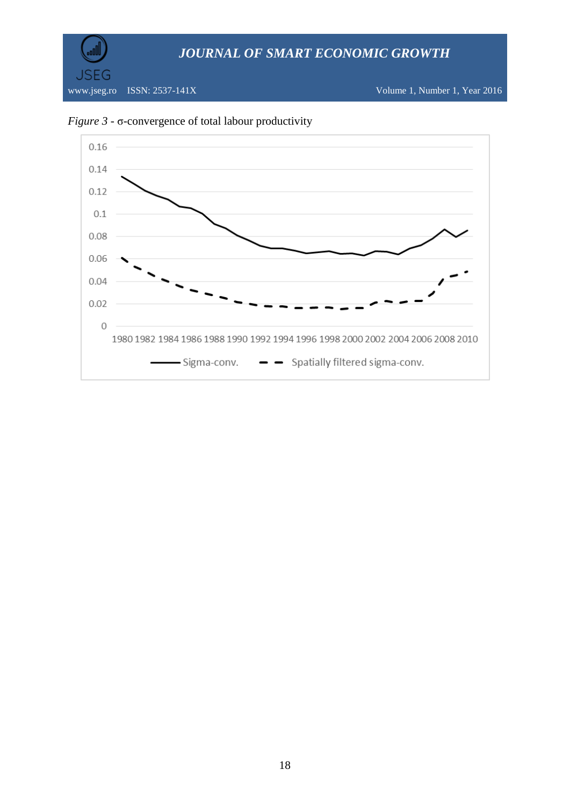



### *Figure 3* - σ-convergence of total labour productivity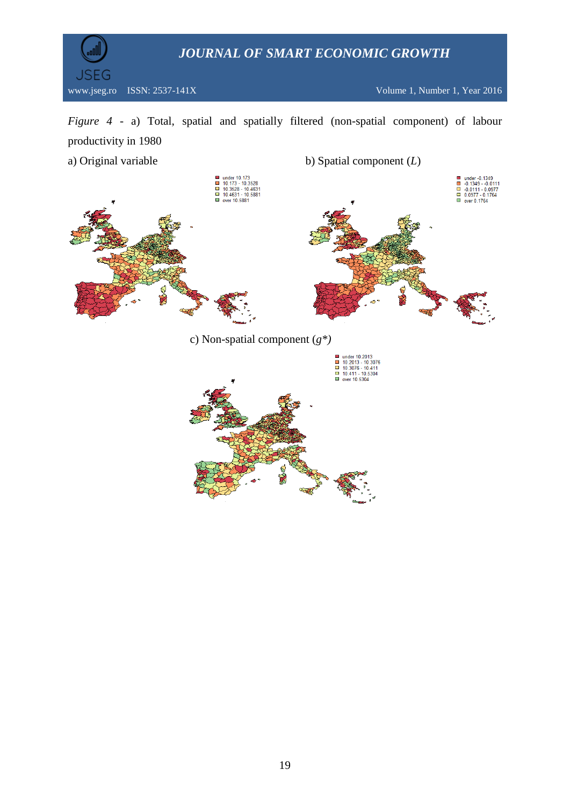

*Figure 4* - a) Total, spatial and spatially filtered (non-spatial component) of labour productivity in 1980

a) Original variable b) Spatial component (*L*) ■ under 10.173<br>■ 10.173 - 10.3528<br>■ 10.3528 - 10.4631<br>■ 10.4631 - 10.5881<br>■ over 10.5881 ■ under -0.1349<br>
-0.1349 - -0.0111<br>
-0.0111 - 0.0977<br>
-0.0977 - 0.1764<br>
■ over 0.1764 c) Non-spatial component (*g\*)*

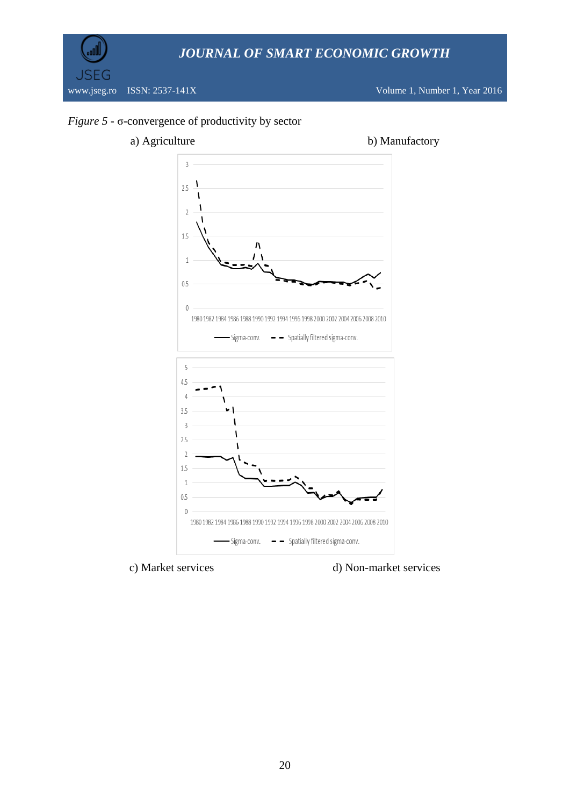

#### *Figure 5* - σ-convergence of productivity by sector



c) Market services d) Non-market services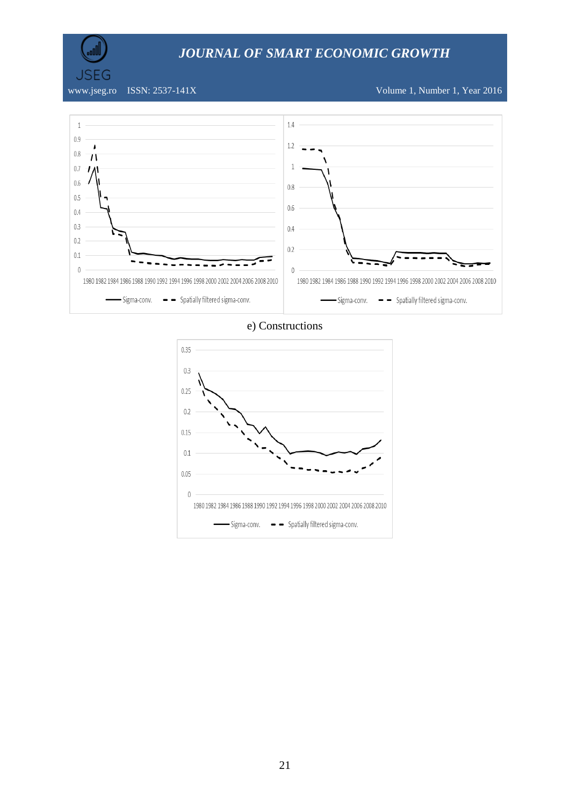

**JSEG** 

www.jseg.ro ISSN: 2537-141X Volume 1, Number 1, Year 2016



e) Constructions

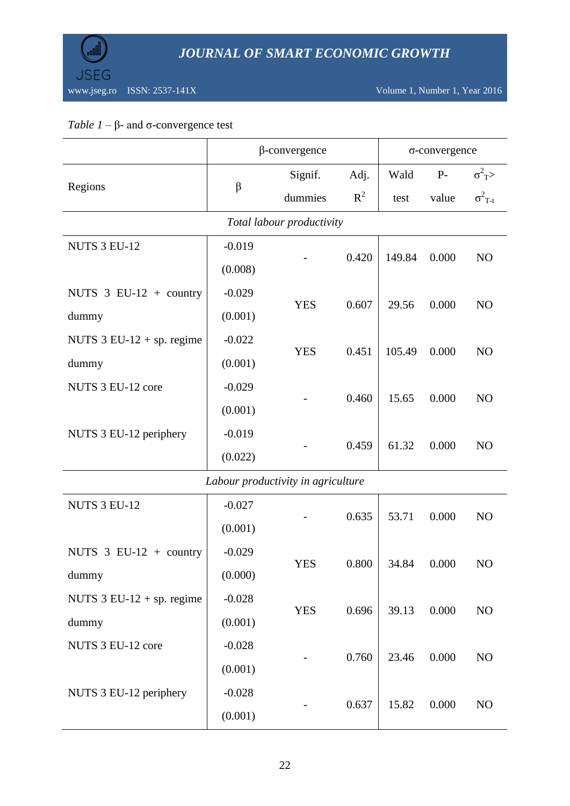

### *Table 1* – β- and σ-convergence test

|                                            | $\beta$ -convergence |                                    |       | $\sigma$ -convergence |       |                           |  |  |
|--------------------------------------------|----------------------|------------------------------------|-------|-----------------------|-------|---------------------------|--|--|
|                                            |                      | Signif.                            | Adj.  | Wald                  | $P-$  | $\sigma^2$ <sub>T</sub> > |  |  |
| Regions                                    | $\beta$              | dummies                            | $R^2$ | test                  | value | $\sigma^2$ <sub>T-t</sub> |  |  |
| Total labour productivity                  |                      |                                    |       |                       |       |                           |  |  |
| NUTS 3 EU-12                               | $-0.019$             |                                    | 0.420 | 149.84                | 0.000 | NO                        |  |  |
|                                            | (0.008)              |                                    |       |                       |       |                           |  |  |
| NUTS $3$ EU-12 + country                   | $-0.029$             | <b>YES</b>                         | 0.607 | 29.56                 | 0.000 | NO                        |  |  |
| dummy                                      | (0.001)              |                                    |       |                       |       |                           |  |  |
| NUTS $3$ EU-12 + sp. regime                | $-0.022$             | <b>YES</b>                         | 0.451 | 105.49                | 0.000 | NO                        |  |  |
| dummy                                      | (0.001)              |                                    |       |                       |       |                           |  |  |
| NUTS 3 EU-12 core                          | $-0.029$             |                                    | 0.460 | 15.65                 | 0.000 | NO                        |  |  |
|                                            | (0.001)              |                                    |       |                       |       |                           |  |  |
| NUTS 3 EU-12 periphery                     | $-0.019$             |                                    | 0.459 | 61.32                 | 0.000 | NO                        |  |  |
|                                            | (0.022)              |                                    |       |                       |       |                           |  |  |
|                                            |                      | Labour productivity in agriculture |       |                       |       |                           |  |  |
| NUTS 3 EU-12                               | $-0.027$             |                                    | 0.635 | 53.71                 | 0.000 | NO                        |  |  |
|                                            | (0.001)              |                                    |       |                       |       |                           |  |  |
| NUTS $3$ EU-12 + country                   | $-0.029$             | <b>YES</b>                         | 0.800 | 34.84                 | 0.000 | NO                        |  |  |
| dummy                                      | (0.000)              |                                    |       |                       |       |                           |  |  |
| NUTS $3 \text{ EU-12} + \text{sp.}$ regime | $-0.028$             |                                    |       | 39.13                 |       |                           |  |  |
| dummy                                      | (0.001)              | <b>YES</b>                         | 0.696 |                       | 0.000 | NO                        |  |  |
| NUTS 3 EU-12 core                          | $-0.028$             |                                    | 0.760 |                       | 0.000 |                           |  |  |
|                                            | (0.001)              |                                    |       | 23.46                 |       | NO                        |  |  |
| NUTS 3 EU-12 periphery                     | $-0.028$             |                                    |       |                       |       |                           |  |  |
|                                            | (0.001)              |                                    | 0.637 | 15.82                 | 0.000 | NO                        |  |  |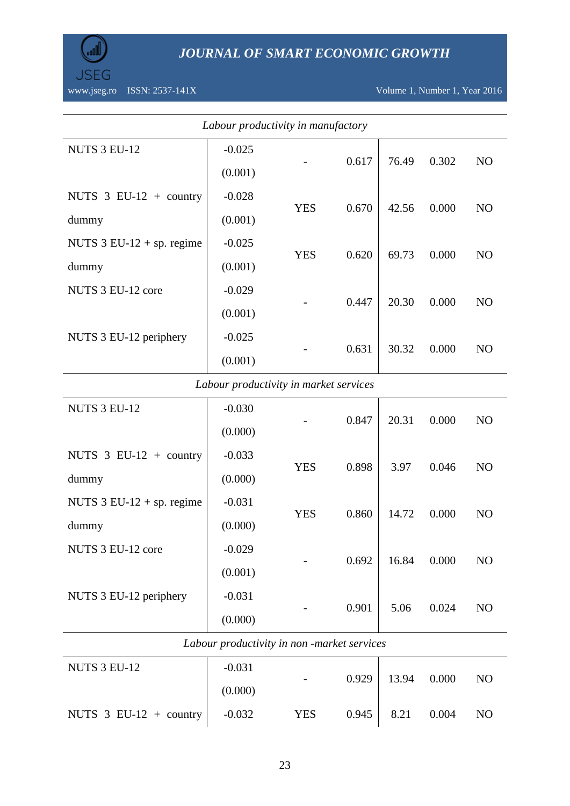

*JOURNAL OF SMART ECONOMIC GROWTH*

NUTS 3 EU-12 core  $\vert$  -0.029

NUTS 3 EU-12 periphery  $\Big|$  -0.031

 $0.692$  16.84 0.000 NO

 $0.901$  5.06 0.024 NO

| Labour productivity in manufactory         |                                        |            |       |       |       |                |  |  |  |
|--------------------------------------------|----------------------------------------|------------|-------|-------|-------|----------------|--|--|--|
| NUTS 3 EU-12                               | $-0.025$                               |            |       |       |       |                |  |  |  |
|                                            | (0.001)                                |            | 0.617 | 76.49 | 0.302 | NO             |  |  |  |
| NUTS $3$ EU-12 + country                   | $-0.028$                               | <b>YES</b> | 0.670 | 42.56 | 0.000 | NO             |  |  |  |
| dummy                                      | (0.001)                                |            |       |       |       |                |  |  |  |
| NUTS $3$ EU-12 + sp. regime                | $-0.025$                               | <b>YES</b> | 0.620 | 69.73 | 0.000 | NO             |  |  |  |
| dummy                                      | (0.001)                                |            |       |       |       |                |  |  |  |
| NUTS 3 EU-12 core                          | $-0.029$                               |            | 0.447 | 20.30 | 0.000 | N <sub>O</sub> |  |  |  |
|                                            | (0.001)                                |            |       |       |       |                |  |  |  |
| NUTS 3 EU-12 periphery                     | $-0.025$                               |            | 0.631 | 30.32 | 0.000 | NO             |  |  |  |
|                                            | (0.001)                                |            |       |       |       |                |  |  |  |
|                                            | Labour productivity in market services |            |       |       |       |                |  |  |  |
| NUTS 3 EU-12                               | $-0.030$                               |            | 0.847 | 20.31 | 0.000 | NO             |  |  |  |
|                                            | (0.000)                                |            |       |       |       |                |  |  |  |
| NUTS $3$ EU-12 + country                   | $-0.033$                               | <b>YES</b> | 0.898 |       |       | NO             |  |  |  |
| dummy                                      | (0.000)                                |            |       | 3.97  | 0.046 |                |  |  |  |
| NUTS $3 \text{ EU-12} + \text{sp.}$ regime | $-0.031$                               | <b>YES</b> | 0.860 |       |       |                |  |  |  |
| dummy                                      | (0.000)                                |            |       | 14.72 | 0.000 | N <sub>O</sub> |  |  |  |

(0.001)

(0.000)

| NUTS 3 EU-12             | $-0.031$<br>(0.000) | $\overline{\phantom{a}}$ | 0.929 | 13.94 0.000          | NO. |
|--------------------------|---------------------|--------------------------|-------|----------------------|-----|
| NUTS $3$ EU-12 + country | $-0.032$            | <b>YES</b>               |       | $0.945$   8.21 0.004 | NO. |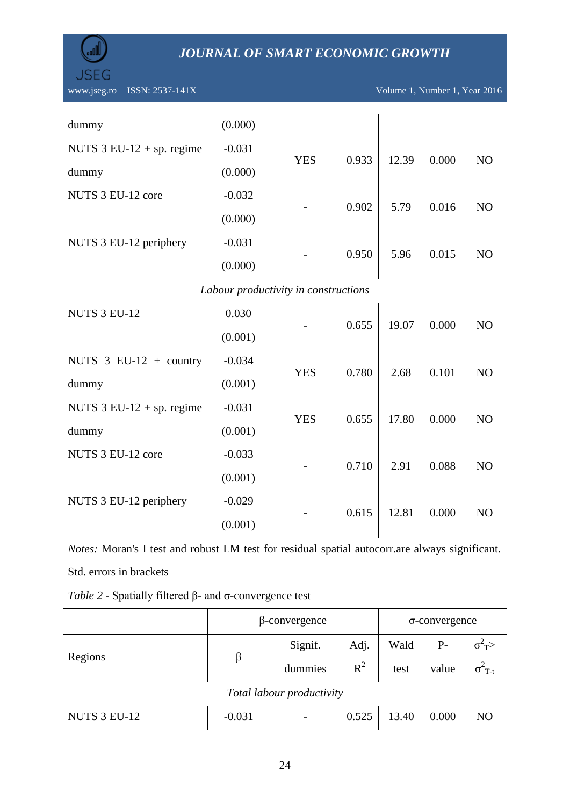

| dummy                                      | (0.000)  |            |       |       |       |                |  |  |  |
|--------------------------------------------|----------|------------|-------|-------|-------|----------------|--|--|--|
| NUTS $3 \text{ EU-12} + \text{sp.}$ regime | $-0.031$ | <b>YES</b> |       |       |       |                |  |  |  |
| dummy                                      | (0.000)  |            | 0.933 | 12.39 | 0.000 | NO             |  |  |  |
| NUTS 3 EU-12 core                          | $-0.032$ |            |       |       |       |                |  |  |  |
|                                            | (0.000)  |            | 0.902 | 5.79  | 0.016 | N <sub>O</sub> |  |  |  |
| NUTS 3 EU-12 periphery                     | $-0.031$ |            |       |       |       |                |  |  |  |
|                                            | (0.000)  |            | 0.950 | 5.96  | 0.015 | N <sub>O</sub> |  |  |  |
| Labour productivity in constructions       |          |            |       |       |       |                |  |  |  |
| NUTS 3 EU-12                               | 0.030    |            | 0.655 | 19.07 | 0.000 | NO             |  |  |  |
|                                            | (0.001)  |            |       |       |       |                |  |  |  |
| NUTS $3$ EU-12 + country                   | $-0.034$ |            |       |       |       |                |  |  |  |
| dummy                                      | (0.001)  | <b>YES</b> | 0.780 | 2.68  | 0.101 | NO             |  |  |  |
| NUTS $3$ EU-12 + sp. regime                | $-0.031$ |            |       |       |       |                |  |  |  |
| dummy                                      | (0.001)  | <b>YES</b> | 0.655 | 17.80 | 0.000 | NO             |  |  |  |
| NUTS 3 EU-12 core                          | $-0.033$ |            |       |       |       |                |  |  |  |
|                                            | (0.001)  |            | 0.710 | 2.91  | 0.088 | NO             |  |  |  |
| NUTS 3 EU-12 periphery                     | $-0.029$ |            |       |       |       |                |  |  |  |
|                                            |          |            | 0.615 | 12.81 | 0.000 | N <sub>O</sub> |  |  |  |

*Notes:* Moran's I test and robust LM test for residual spatial autocorr.are always significant. Std. errors in brackets

 $(0.001)$ 

|  |  | Table 2 - Spatially filtered $\beta$ - and $\sigma$ -convergence test |
|--|--|-----------------------------------------------------------------------|
|--|--|-----------------------------------------------------------------------|

|                           | $\beta$ -convergence |         |       | $\sigma$ -convergence |       |                           |  |  |  |
|---------------------------|----------------------|---------|-------|-----------------------|-------|---------------------------|--|--|--|
| Regions                   |                      | Signif. | Adj.  | Wald                  | $P-$  | $\sigma^2$ <sub>T</sub> > |  |  |  |
|                           | β                    | dummies | $R^2$ | test                  | value | $\sigma^2$ <sub>T-t</sub> |  |  |  |
| Total labour productivity |                      |         |       |                       |       |                           |  |  |  |
| NUTS 3 EU-12              | $-0.031$             |         |       | $0.525$   13.40 0.000 |       | N <sub>O</sub>            |  |  |  |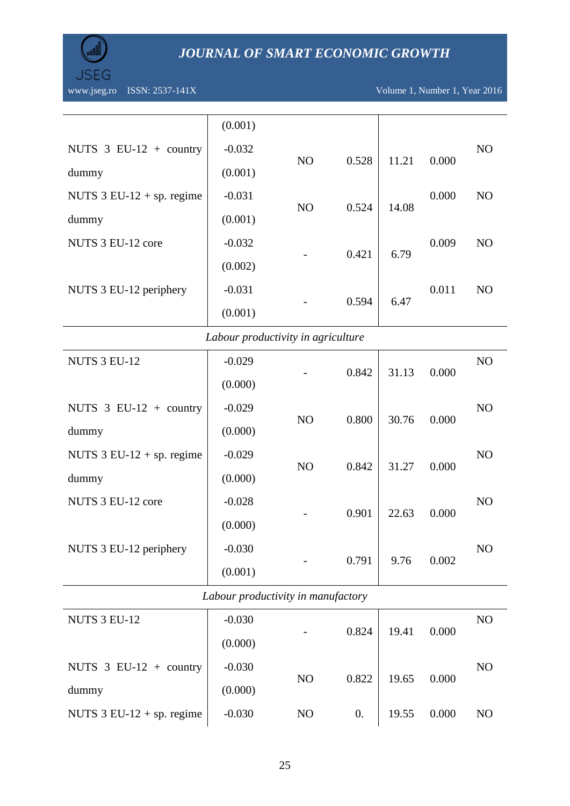

|                                               | (0.001)  |                |       |       |                |                |
|-----------------------------------------------|----------|----------------|-------|-------|----------------|----------------|
| NUTS $3$ EU-12 + country                      | $-0.032$ |                |       |       |                | N <sub>O</sub> |
| dummy                                         | (0.001)  | N <sub>O</sub> | 0.528 | 11.21 | 0.000          |                |
| NUTS $3$ EU-12 + sp. regime                   | $-0.031$ | N <sub>O</sub> | 0.524 | 14.08 | 0.000          | N <sub>O</sub> |
| dummy                                         | (0.001)  |                |       |       |                |                |
| NUTS 3 EU-12 core                             | $-0.032$ |                | 0.421 |       | 0.009          | N <sub>O</sub> |
|                                               | (0.002)  |                |       | 6.79  |                |                |
| $-0.031$<br>NUTS 3 EU-12 periphery<br>(0.001) |          |                |       | 0.011 | N <sub>O</sub> |                |
|                                               |          |                | 0.594 | 6.47  |                |                |

### *Labour productivity in agriculture*

| NUTS 3 EU-12                               | $-0.029$ |                | 0.842 | 31.13 | 0.000 | NO             |
|--------------------------------------------|----------|----------------|-------|-------|-------|----------------|
|                                            | (0.000)  |                |       |       |       |                |
| NUTS $3$ EU-12 + country                   | $-0.029$ |                |       |       |       | NO             |
| dummy                                      | (0.000)  | N <sub>O</sub> | 0.800 | 30.76 | 0.000 |                |
| NUTS $3 \text{ EU-12} + \text{sp.}$ regime | $-0.029$ |                |       |       |       | N <sub>O</sub> |
| dummy                                      | (0.000)  | N <sub>O</sub> | 0.842 | 31.27 | 0.000 |                |
| NUTS 3 EU-12 core                          | $-0.028$ |                |       |       |       | N <sub>O</sub> |
|                                            | (0.000)  |                | 0.901 | 22.63 | 0.000 |                |
| NUTS 3 EU-12 periphery                     | $-0.030$ |                |       |       |       | N <sub>O</sub> |
|                                            | (0.001)  |                | 0.791 | 9.76  | 0.002 |                |

# *Labour productivity in manufactory*

| NUTS 3 EU-12                               | $-0.030$ |                | 0.824 | 19.41 | 0.000 | N <sub>O</sub> |
|--------------------------------------------|----------|----------------|-------|-------|-------|----------------|
|                                            | (0.000)  |                |       |       |       |                |
| NUTS $3$ EU-12 + country                   | $-0.030$ |                |       |       |       | N <sub>O</sub> |
| dummy                                      | (0.000)  | N <sub>O</sub> | 0.822 | 19.65 | 0.000 |                |
| NUTS $3 \text{ EU-12} + \text{sp.}$ regime | $-0.030$ | N <sub>O</sub> | 0.    | 19.55 | 0.000 | N <sub>O</sub> |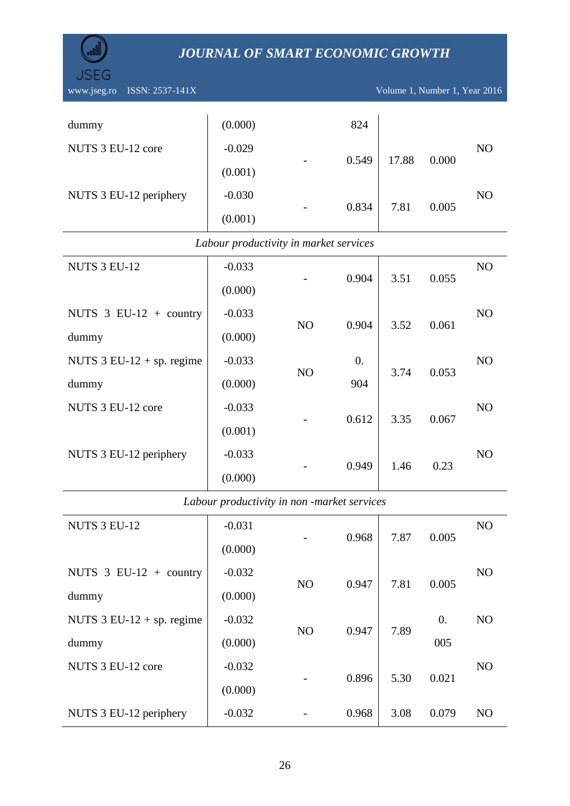

JSEG

#### *Labour productivity in market services*

| $-0.033$ |                      |                                  |                                      | N <sub>O</sub>                           |
|----------|----------------------|----------------------------------|--------------------------------------|------------------------------------------|
| (0.000)  |                      |                                  |                                      |                                          |
| $-0.033$ |                      |                                  |                                      | N <sub>O</sub>                           |
| (0.000)  |                      |                                  |                                      |                                          |
| $-0.033$ | $\theta$ .           |                                  |                                      | N <sub>O</sub>                           |
| (0.000)  | 904                  |                                  |                                      |                                          |
| $-0.033$ |                      |                                  |                                      | N <sub>O</sub>                           |
| (0.001)  |                      |                                  |                                      |                                          |
| $-0.033$ |                      |                                  |                                      | N <sub>O</sub>                           |
| (0.000)  |                      |                                  |                                      |                                          |
|          | N <sub>O</sub><br>NO | 0.904<br>0.904<br>0.612<br>0.949 | 3.51<br>3.52<br>3.74<br>3.35<br>1.46 | 0.055<br>0.061<br>0.053<br>0.067<br>0.23 |

*Labour productivity in non -market services*

| <b>NUTS 3 EU-12</b>         | $-0.031$ |                | 0.968 | 7.87 | 0.005 | N <sub>O</sub> |
|-----------------------------|----------|----------------|-------|------|-------|----------------|
|                             | (0.000)  |                |       |      |       |                |
| NUTS $3$ EU-12 + country    | $-0.032$ |                | 0.947 |      | 0.005 | N <sub>O</sub> |
| dummy                       | (0.000)  | N <sub>O</sub> |       | 7.81 |       |                |
| NUTS $3$ EU-12 + sp. regime | $-0.032$ |                | 0.947 | 7.89 | 0.    | N <sub>O</sub> |
| dummy                       | (0.000)  | N <sub>O</sub> |       |      | 005   |                |
| NUTS 3 EU-12 core           | $-0.032$ |                |       | 5.30 |       | N <sub>O</sub> |
|                             | (0.000)  |                | 0.896 |      | 0.021 |                |
| NUTS 3 EU-12 periphery      | $-0.032$ |                | 0.968 | 3.08 | 0.079 | N <sub>O</sub> |